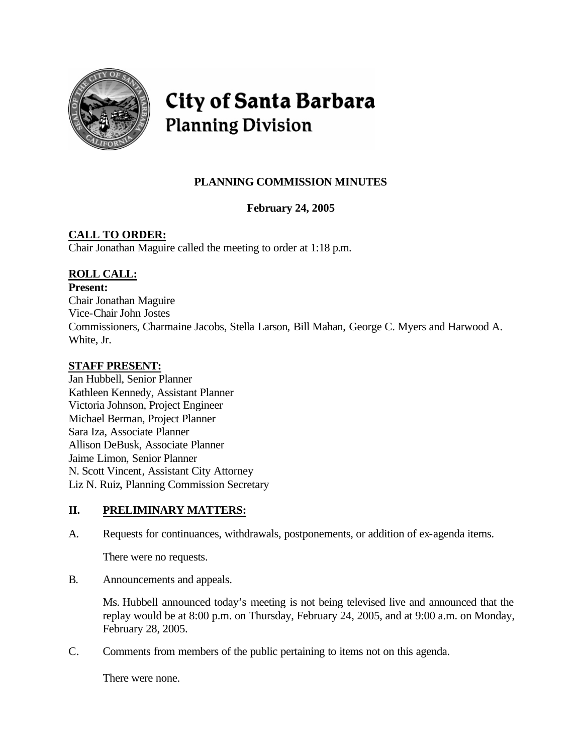

# City of Santa Barbara **Planning Division**

# **PLANNING COMMISSION MINUTES**

**February 24, 2005**

## **CALL TO ORDER:**

Chair Jonathan Maguire called the meeting to order at 1:18 p.m.

### **ROLL CALL:**

**Present:**

Chair Jonathan Maguire Vice-Chair John Jostes Commissioners, Charmaine Jacobs, Stella Larson, Bill Mahan, George C. Myers and Harwood A. White, Jr.

### **STAFF PRESENT:**

Jan Hubbell, Senior Planner Kathleen Kennedy, Assistant Planner Victoria Johnson, Project Engineer Michael Berman, Project Planner Sara Iza, Associate Planner Allison DeBusk, Associate Planner Jaime Limon, Senior Planner N. Scott Vincent, Assistant City Attorney Liz N. Ruiz, Planning Commission Secretary

### **II. PRELIMINARY MATTERS:**

A. Requests for continuances, withdrawals, postponements, or addition of ex-agenda items.

There were no requests.

B. Announcements and appeals.

Ms. Hubbell announced today's meeting is not being televised live and announced that the replay would be at 8:00 p.m. on Thursday, February 24, 2005, and at 9:00 a.m. on Monday, February 28, 2005.

C. Comments from members of the public pertaining to items not on this agenda.

There were none.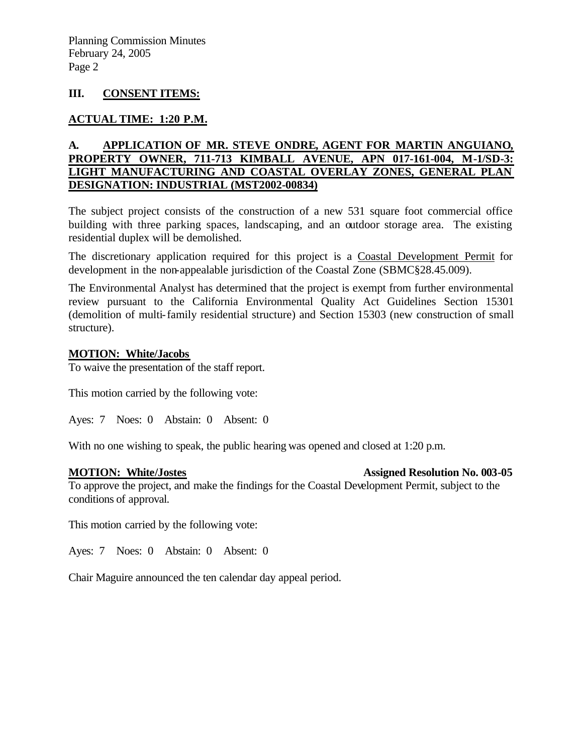### **III. CONSENT ITEMS:**

### **ACTUAL TIME: 1:20 P.M.**

### **A. APPLICATION OF MR. STEVE ONDRE, AGENT FOR MARTIN ANGUIANO, PROPERTY OWNER, 711-713 KIMBALL AVENUE, APN 017-161-004, M-1/SD-3: LIGHT MANUFACTURING AND COASTAL OVERLAY ZONES, GENERAL PLAN DESIGNATION: INDUSTRIAL (MST2002-00834)**

The subject project consists of the construction of a new 531 square foot commercial office building with three parking spaces, landscaping, and an outdoor storage area. The existing residential duplex will be demolished.

The discretionary application required for this project is a Coastal Development Permit for development in the non-appealable jurisdiction of the Coastal Zone (SBMC§28.45.009).

The Environmental Analyst has determined that the project is exempt from further environmental review pursuant to the California Environmental Quality Act Guidelines Section 15301 (demolition of multi-family residential structure) and Section 15303 (new construction of small structure).

### **MOTION: White/Jacobs**

To waive the presentation of the staff report.

This motion carried by the following vote:

Ayes: 7 Noes: 0 Abstain: 0 Absent: 0

With no one wishing to speak, the public hearing was opened and closed at 1:20 p.m.

**MOTION: White/Jostes Assigned Resolution No. 003-05** 

To approve the project, and make the findings for the Coastal Development Permit, subject to the conditions of approval.

This motion carried by the following vote:

Ayes: 7 Noes: 0 Abstain: 0 Absent: 0

Chair Maguire announced the ten calendar day appeal period.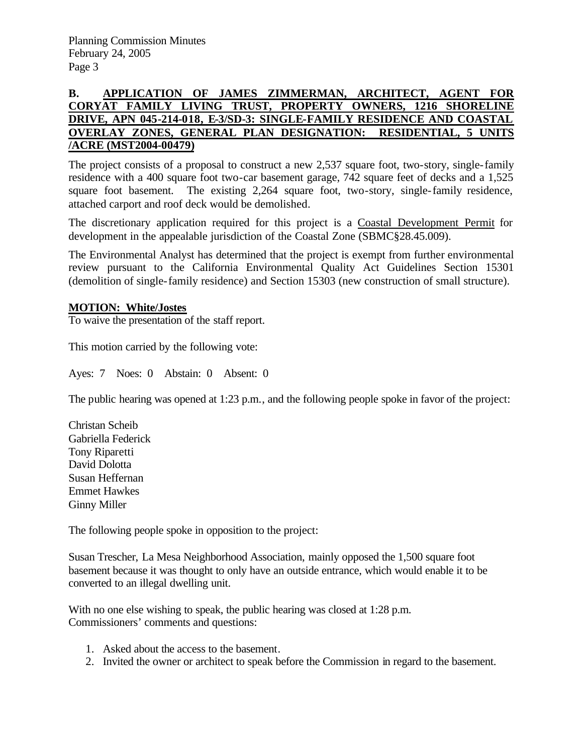### **B. APPLICATION OF JAMES ZIMMERMAN, ARCHITECT, AGENT FOR CORYAT FAMILY LIVING TRUST, PROPERTY OWNERS, 1216 SHORELINE DRIVE, APN 045-214-018, E-3/SD-3: SINGLE-FAMILY RESIDENCE AND COASTAL OVERLAY ZONES, GENERAL PLAN DESIGNATION: RESIDENTIAL, 5 UNITS /ACRE (MST2004-00479)**

The project consists of a proposal to construct a new 2,537 square foot, two-story, single-family residence with a 400 square foot two-car basement garage, 742 square feet of decks and a 1,525 square foot basement. The existing 2,264 square foot, two-story, single-family residence, attached carport and roof deck would be demolished.

The discretionary application required for this project is a Coastal Development Permit for development in the appealable jurisdiction of the Coastal Zone (SBMC§28.45.009).

The Environmental Analyst has determined that the project is exempt from further environmental review pursuant to the California Environmental Quality Act Guidelines Section 15301 (demolition of single-family residence) and Section 15303 (new construction of small structure).

### **MOTION: White/Jostes**

To waive the presentation of the staff report.

This motion carried by the following vote:

Ayes: 7 Noes: 0 Abstain: 0 Absent: 0

The public hearing was opened at 1:23 p.m., and the following people spoke in favor of the project:

Christan Scheib Gabriella Federick Tony Riparetti David Dolotta Susan Heffernan Emmet Hawkes Ginny Miller

The following people spoke in opposition to the project:

Susan Trescher, La Mesa Neighborhood Association, mainly opposed the 1,500 square foot basement because it was thought to only have an outside entrance, which would enable it to be converted to an illegal dwelling unit.

With no one else wishing to speak, the public hearing was closed at 1:28 p.m. Commissioners' comments and questions:

- 1. Asked about the access to the basement.
- 2. Invited the owner or architect to speak before the Commission in regard to the basement.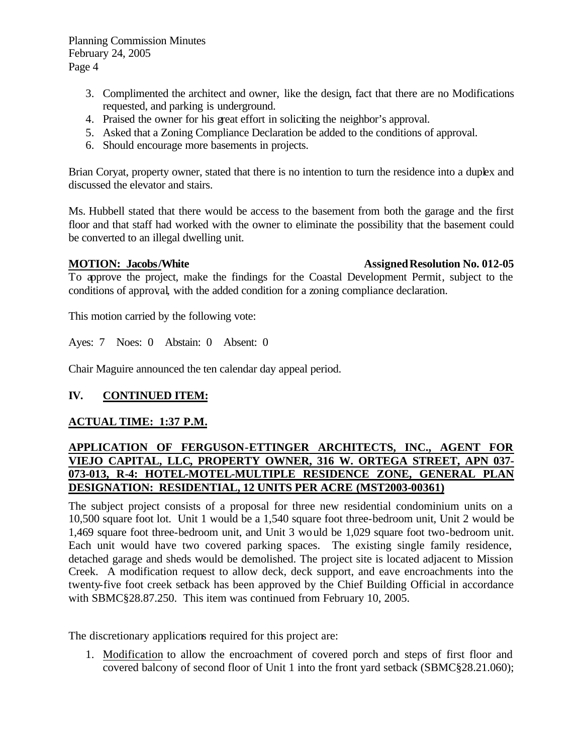- 3. Complimented the architect and owner, like the design, fact that there are no Modifications requested, and parking is underground.
- 4. Praised the owner for his great effort in soliciting the neighbor's approval.
- 5. Asked that a Zoning Compliance Declaration be added to the conditions of approval.
- 6. Should encourage more basements in projects.

Brian Coryat, property owner, stated that there is no intention to turn the residence into a duplex and discussed the elevator and stairs.

Ms. Hubbell stated that there would be access to the basement from both the garage and the first floor and that staff had worked with the owner to eliminate the possibility that the basement could be converted to an illegal dwelling unit.

### **MOTION: Jacobs/White Assigned Resolution No. 012-05**

To approve the project, make the findings for the Coastal Development Permit, subject to the conditions of approval, with the added condition for a zoning compliance declaration.

This motion carried by the following vote:

Ayes: 7 Noes: 0 Abstain: 0 Absent: 0

Chair Maguire announced the ten calendar day appeal period.

### **IV. CONTINUED ITEM:**

### **ACTUAL TIME: 1:37 P.M.**

### **APPLICATION OF FERGUSON-ETTINGER ARCHITECTS, INC., AGENT FOR VIEJO CAPITAL, LLC, PROPERTY OWNER, 316 W. ORTEGA STREET, APN 037- 073-013, R-4: HOTEL-MOTEL-MULTIPLE RESIDENCE ZONE, GENERAL PLAN DESIGNATION: RESIDENTIAL, 12 UNITS PER ACRE (MST2003-00361)**

The subject project consists of a proposal for three new residential condominium units on a 10,500 square foot lot. Unit 1 would be a 1,540 square foot three-bedroom unit, Unit 2 would be 1,469 square foot three-bedroom unit, and Unit 3 would be 1,029 square foot two-bedroom unit. Each unit would have two covered parking spaces. The existing single family residence, detached garage and sheds would be demolished. The project site is located adjacent to Mission Creek. A modification request to allow deck, deck support, and eave encroachments into the twenty-five foot creek setback has been approved by the Chief Building Official in accordance with SBMC§28.87.250. This item was continued from February 10, 2005.

The discretionary applications required for this project are:

1. Modification to allow the encroachment of covered porch and steps of first floor and covered balcony of second floor of Unit 1 into the front yard setback (SBMC§28.21.060);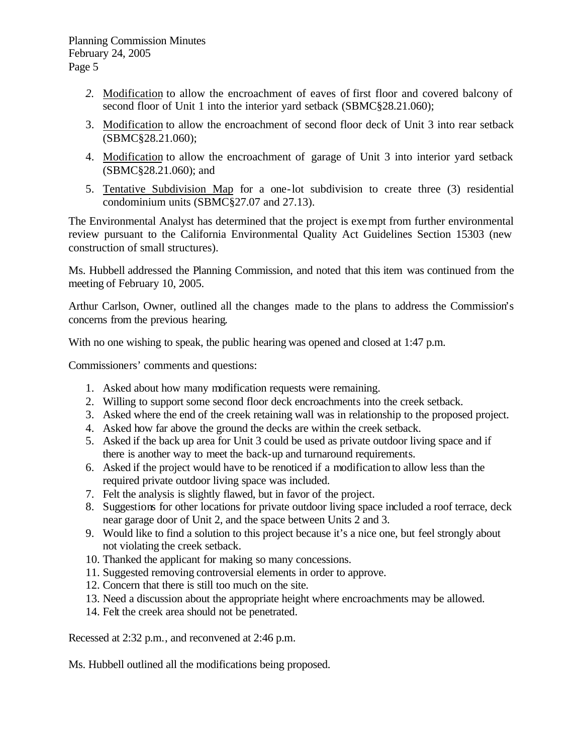- *2.* Modification to allow the encroachment of eaves of first floor and covered balcony of second floor of Unit 1 into the interior yard setback (SBMC§28.21.060);
- 3. Modification to allow the encroachment of second floor deck of Unit 3 into rear setback (SBMC§28.21.060);
- 4. Modification to allow the encroachment of garage of Unit 3 into interior yard setback (SBMC§28.21.060); and
- 5. Tentative Subdivision Map for a one-lot subdivision to create three (3) residential condominium units (SBMC§27.07 and 27.13).

The Environmental Analyst has determined that the project is exempt from further environmental review pursuant to the California Environmental Quality Act Guidelines Section 15303 (new construction of small structures).

Ms. Hubbell addressed the Planning Commission, and noted that this item was continued from the meeting of February 10, 2005.

Arthur Carlson, Owner, outlined all the changes made to the plans to address the Commission's concerns from the previous hearing.

With no one wishing to speak, the public hearing was opened and closed at 1:47 p.m.

Commissioners' comments and questions:

- 1. Asked about how many modification requests were remaining.
- 2. Willing to support some second floor deck encroachments into the creek setback.
- 3. Asked where the end of the creek retaining wall was in relationship to the proposed project.
- 4. Asked how far above the ground the decks are within the creek setback.
- 5. Asked if the back up area for Unit 3 could be used as private outdoor living space and if there is another way to meet the back-up and turnaround requirements.
- 6. Asked if the project would have to be renoticed if a modification to allow less than the required private outdoor living space was included.
- 7. Felt the analysis is slightly flawed, but in favor of the project.
- 8. Suggestions for other locations for private outdoor living space included a roof terrace, deck near garage door of Unit 2, and the space between Units 2 and 3.
- 9. Would like to find a solution to this project because it's a nice one, but feel strongly about not violating the creek setback.
- 10. Thanked the applicant for making so many concessions.
- 11. Suggested removing controversial elements in order to approve.
- 12. Concern that there is still too much on the site.
- 13. Need a discussion about the appropriate height where encroachments may be allowed.
- 14. Felt the creek area should not be penetrated.

Recessed at 2:32 p.m., and reconvened at 2:46 p.m.

Ms. Hubbell outlined all the modifications being proposed.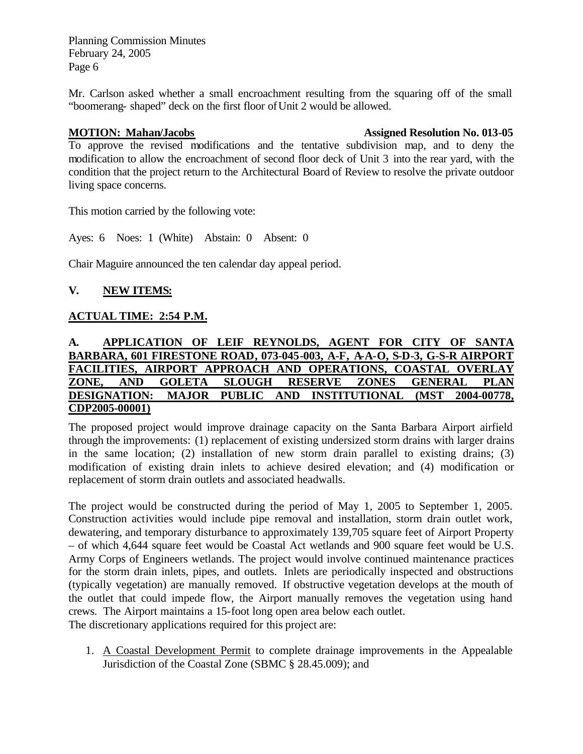Mr. Carlson asked whether a small encroachment resulting from the squaring off of the small "boomerang- shaped" deck on the first floor of Unit 2 would be allowed.

### **MOTION: Mahan/Jacobs** Assigned Resolution No. 013-05

To approve the revised modifications and the tentative subdivision map, and to deny the modification to allow the encroachment of second floor deck of Unit 3 into the rear yard, with the condition that the project return to the Architectural Board of Review to resolve the private outdoor living space concerns.

This motion carried by the following vote:

Ayes: 6 Noes: 1 (White) Abstain: 0 Absent: 0

Chair Maguire announced the ten calendar day appeal period.

### **V. NEW ITEMS:**

### **ACTUAL TIME: 2:54 P.M.**

### **A. APPLICATION OF LEIF REYNOLDS, AGENT FOR CITY OF SANTA BARBARA, 601 FIRESTONE ROAD, 073-045-003, A-F, A-A-O, S-D-3, G-S-R AIRPORT FACILITIES, AIRPORT APPROACH AND OPERATIONS, COASTAL OVERLAY ZONE, AND GOLETA SLOUGH RESERVE ZONES GENERAL PLAN DESIGNATION: MAJOR PUBLIC AND INSTITUTIONAL (MST 2004-00778, CDP2005-00001)**

The proposed project would improve drainage capacity on the Santa Barbara Airport airfield through the improvements: (1) replacement of existing undersized storm drains with larger drains in the same location; (2) installation of new storm drain parallel to existing drains; (3) modification of existing drain inlets to achieve desired elevation; and (4) modification or replacement of storm drain outlets and associated headwalls.

The project would be constructed during the period of May 1, 2005 to September 1, 2005. Construction activities would include pipe removal and installation, storm drain outlet work, dewatering, and temporary disturbance to approximately 139,705 square feet of Airport Property – of which 4,644 square feet would be Coastal Act wetlands and 900 square feet would be U.S. Army Corps of Engineers wetlands. The project would involve continued maintenance practices for the storm drain inlets, pipes, and outlets. Inlets are periodically inspected and obstructions (typically vegetation) are manually removed. If obstructive vegetation develops at the mouth of the outlet that could impede flow, the Airport manually removes the vegetation using hand crews. The Airport maintains a 15-foot long open area below each outlet. The discretionary applications required for this project are:

1. A Coastal Development Permit to complete drainage improvements in the Appealable Jurisdiction of the Coastal Zone (SBMC § 28.45.009); and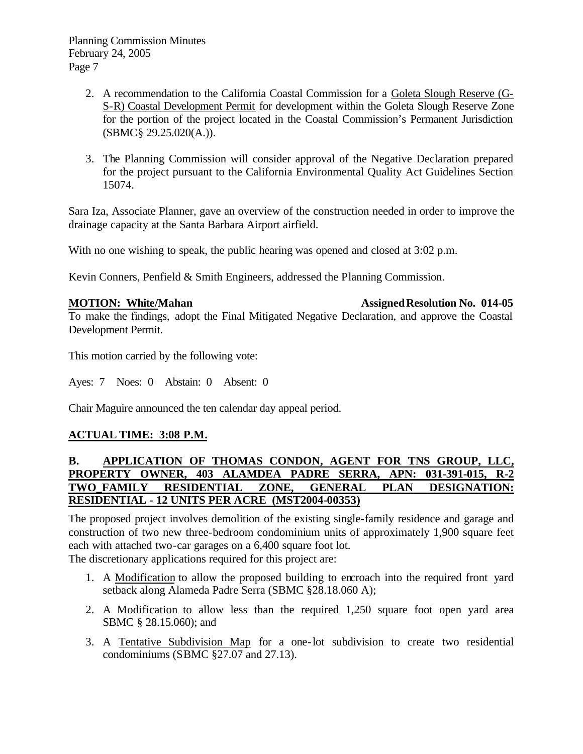- 2. A recommendation to the California Coastal Commission for a Goleta Slough Reserve (G-S-R) Coastal Development Permit for development within the Goleta Slough Reserve Zone for the portion of the project located in the Coastal Commission's Permanent Jurisdiction (SBMC§ 29.25.020(A.)).
- 3. The Planning Commission will consider approval of the Negative Declaration prepared for the project pursuant to the California Environmental Quality Act Guidelines Section 15074.

Sara Iza, Associate Planner, gave an overview of the construction needed in order to improve the drainage capacity at the Santa Barbara Airport airfield.

With no one wishing to speak, the public hearing was opened and closed at  $3:02$  p.m.

Kevin Conners, Penfield & Smith Engineers, addressed the Planning Commission.

**MOTION: White/Mahan**  Assigned Resolution No. 014-05

To make the findings, adopt the Final Mitigated Negative Declaration, and approve the Coastal Development Permit.

This motion carried by the following vote:

Ayes: 7 Noes: 0 Abstain: 0 Absent: 0

Chair Maguire announced the ten calendar day appeal period.

### **ACTUAL TIME: 3:08 P.M.**

### **B. APPLICATION OF THOMAS CONDON, AGENT FOR TNS GROUP, LLC, PROPERTY OWNER, 403 ALAMDEA PADRE SERRA, APN: 031-391-015, R-2 TWO\_FAMILY RESIDENTIAL ZONE, GENERAL PLAN DESIGNATION: RESIDENTIAL - 12 UNITS PER ACRE (MST2004-00353)**

The proposed project involves demolition of the existing single-family residence and garage and construction of two new three-bedroom condominium units of approximately 1,900 square feet each with attached two-car garages on a 6,400 square foot lot.

The discretionary applications required for this project are:

- 1. A Modification to allow the proposed building to encroach into the required front yard setback along Alameda Padre Serra (SBMC §28.18.060 A);
- 2. A Modification to allow less than the required 1,250 square foot open yard area SBMC § 28.15.060); and
- 3. A Tentative Subdivision Map for a one-lot subdivision to create two residential condominiums (SBMC §27.07 and 27.13).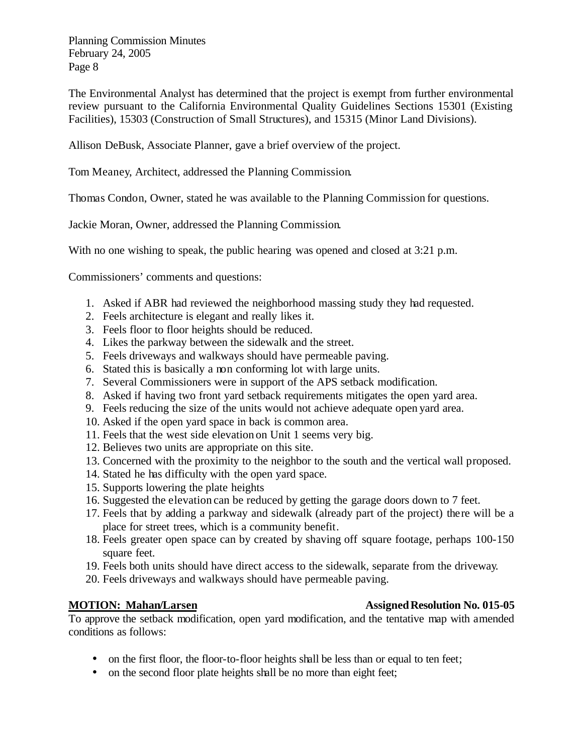The Environmental Analyst has determined that the project is exempt from further environmental review pursuant to the California Environmental Quality Guidelines Sections 15301 (Existing Facilities), 15303 (Construction of Small Structures), and 15315 (Minor Land Divisions).

Allison DeBusk, Associate Planner, gave a brief overview of the project.

Tom Meaney, Architect, addressed the Planning Commission.

Thomas Condon, Owner, stated he was available to the Planning Commission for questions.

Jackie Moran, Owner, addressed the Planning Commission.

With no one wishing to speak, the public hearing was opened and closed at 3:21 p.m.

Commissioners' comments and questions:

- 1. Asked if ABR had reviewed the neighborhood massing study they had requested.
- 2. Feels architecture is elegant and really likes it.
- 3. Feels floor to floor heights should be reduced.
- 4. Likes the parkway between the sidewalk and the street.
- 5. Feels driveways and walkways should have permeable paving.
- 6. Stated this is basically a non conforming lot with large units.
- 7. Several Commissioners were in support of the APS setback modification.
- 8. Asked if having two front yard setback requirements mitigates the open yard area.
- 9. Feels reducing the size of the units would not achieve adequate open yard area.
- 10. Asked if the open yard space in back is common area.
- 11. Feels that the west side elevation on Unit 1 seems very big.
- 12. Believes two units are appropriate on this site.
- 13. Concerned with the proximity to the neighbor to the south and the vertical wall proposed.
- 14. Stated he has difficulty with the open yard space.
- 15. Supports lowering the plate heights
- 16. Suggested the elevation can be reduced by getting the garage doors down to 7 feet.
- 17. Feels that by adding a parkway and sidewalk (already part of the project) there will be a place for street trees, which is a community benefit.
- 18. Feels greater open space can by created by shaving off square footage, perhaps 100-150 square feet.
- 19. Feels both units should have direct access to the sidewalk, separate from the driveway.
- 20. Feels driveways and walkways should have permeable paving.

To approve the setback modification, open yard modification, and the tentative map with amended conditions as follows:

- on the first floor, the floor-to-floor heights shall be less than or equal to ten feet;
- on the second floor plate heights shall be no more than eight feet;

### **MOTION: Mahan/Larsen Assigned Resolution No. 015-05**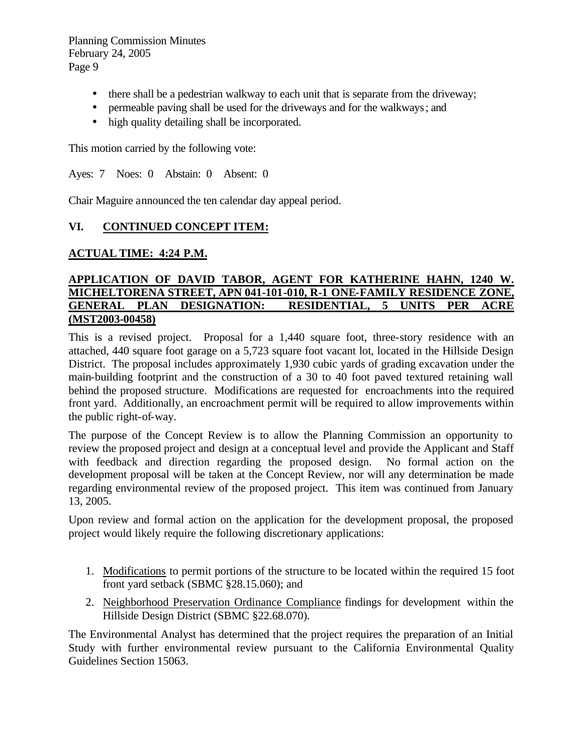- there shall be a pedestrian walkway to each unit that is separate from the driveway;
- permeable paving shall be used for the driveways and for the walkways; and
- high quality detailing shall be incorporated.

This motion carried by the following vote:

Ayes: 7 Noes: 0 Abstain: 0 Absent: 0

Chair Maguire announced the ten calendar day appeal period.

### **VI. CONTINUED CONCEPT ITEM:**

### **ACTUAL TIME: 4:24 P.M.**

### **APPLICATION OF DAVID TABOR, AGENT FOR KATHERINE HAHN, 1240 W. MICHELTORENA STREET, APN 041-101-010, R-1 ONE-FAMILY RESIDENCE ZONE, GENERAL PLAN DESIGNATION: RESIDENTIAL, 5 UNITS PER ACRE (MST2003-00458)**

This is a revised project. Proposal for a 1,440 square foot, three-story residence with an attached, 440 square foot garage on a 5,723 square foot vacant lot, located in the Hillside Design District. The proposal includes approximately 1,930 cubic yards of grading excavation under the main-building footprint and the construction of a 30 to 40 foot paved textured retaining wall behind the proposed structure. Modifications are requested for encroachments into the required front yard. Additionally, an encroachment permit will be required to allow improvements within the public right-of-way.

The purpose of the Concept Review is to allow the Planning Commission an opportunity to review the proposed project and design at a conceptual level and provide the Applicant and Staff with feedback and direction regarding the proposed design. No formal action on the development proposal will be taken at the Concept Review, nor will any determination be made regarding environmental review of the proposed project. This item was continued from January 13, 2005.

Upon review and formal action on the application for the development proposal, the proposed project would likely require the following discretionary applications:

- 1. Modifications to permit portions of the structure to be located within the required 15 foot front yard setback (SBMC §28.15.060); and
- 2. Neighborhood Preservation Ordinance Compliance findings for development within the Hillside Design District (SBMC §22.68.070).

The Environmental Analyst has determined that the project requires the preparation of an Initial Study with further environmental review pursuant to the California Environmental Quality Guidelines Section 15063.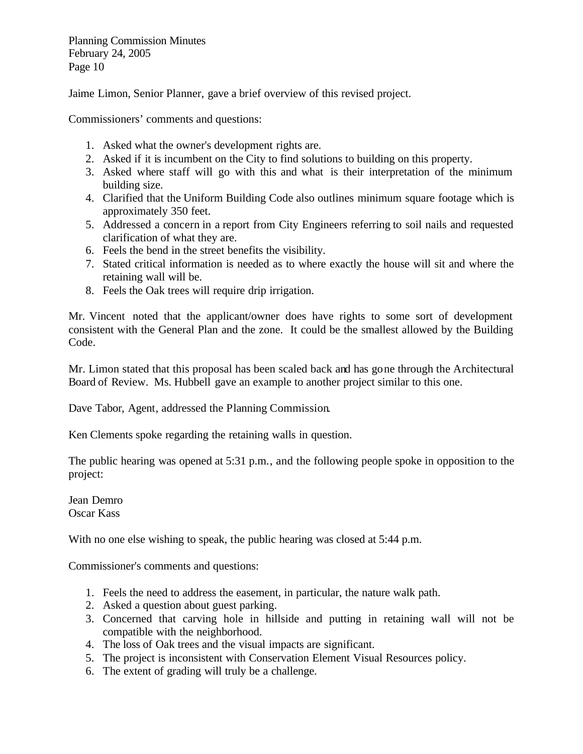Jaime Limon, Senior Planner, gave a brief overview of this revised project.

Commissioners' comments and questions:

- 1. Asked what the owner's development rights are.
- 2. Asked if it is incumbent on the City to find solutions to building on this property.
- 3. Asked where staff will go with this and what is their interpretation of the minimum building size.
- 4. Clarified that the Uniform Building Code also outlines minimum square footage which is approximately 350 feet.
- 5. Addressed a concern in a report from City Engineers referring to soil nails and requested clarification of what they are.
- 6. Feels the bend in the street benefits the visibility.
- 7. Stated critical information is needed as to where exactly the house will sit and where the retaining wall will be.
- 8. Feels the Oak trees will require drip irrigation.

Mr. Vincent noted that the applicant/owner does have rights to some sort of development consistent with the General Plan and the zone. It could be the smallest allowed by the Building Code.

Mr. Limon stated that this proposal has been scaled back and has gone through the Architectural Board of Review. Ms. Hubbell gave an example to another project similar to this one.

Dave Tabor, Agent, addressed the Planning Commission.

Ken Clements spoke regarding the retaining walls in question.

The public hearing was opened at 5:31 p.m., and the following people spoke in opposition to the project:

Jean Demro Oscar Kass

With no one else wishing to speak, the public hearing was closed at 5:44 p.m.

Commissioner's comments and questions:

- 1. Feels the need to address the easement, in particular, the nature walk path.
- 2. Asked a question about guest parking.
- 3. Concerned that carving hole in hillside and putting in retaining wall will not be compatible with the neighborhood.
- 4. The loss of Oak trees and the visual impacts are significant.
- 5. The project is inconsistent with Conservation Element Visual Resources policy.
- 6. The extent of grading will truly be a challenge.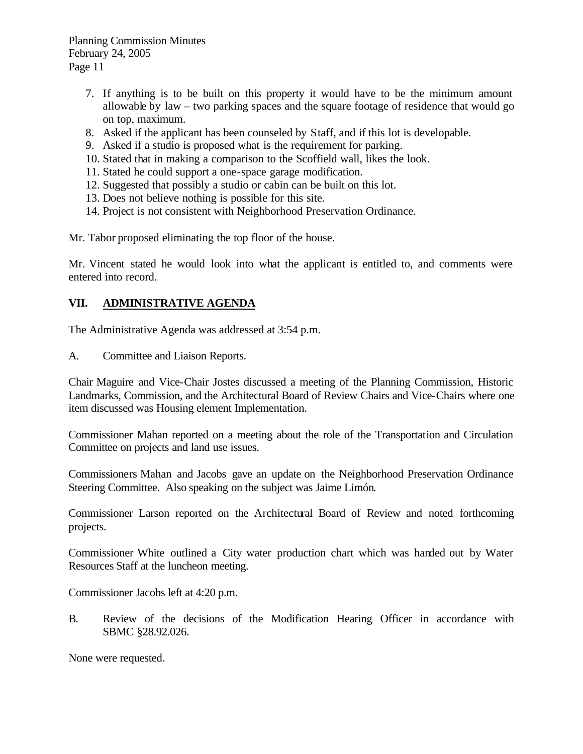- 7. If anything is to be built on this property it would have to be the minimum amount allowable by  $law - two$  parking spaces and the square footage of residence that would go on top, maximum.
- 8. Asked if the applicant has been counseled by Staff, and if this lot is developable.
- 9. Asked if a studio is proposed what is the requirement for parking.
- 10. Stated that in making a comparison to the Scoffield wall, likes the look.
- 11. Stated he could support a one-space garage modification.
- 12. Suggested that possibly a studio or cabin can be built on this lot.
- 13. Does not believe nothing is possible for this site.
- 14. Project is not consistent with Neighborhood Preservation Ordinance.

Mr. Tabor proposed eliminating the top floor of the house.

Mr. Vincent stated he would look into what the applicant is entitled to, and comments were entered into record.

### **VII. ADMINISTRATIVE AGENDA**

The Administrative Agenda was addressed at 3:54 p.m.

A. Committee and Liaison Reports.

Chair Maguire and Vice-Chair Jostes discussed a meeting of the Planning Commission, Historic Landmarks, Commission, and the Architectural Board of Review Chairs and Vice-Chairs where one item discussed was Housing element Implementation.

Commissioner Mahan reported on a meeting about the role of the Transportation and Circulation Committee on projects and land use issues.

Commissioners Mahan and Jacobs gave an update on the Neighborhood Preservation Ordinance Steering Committee. Also speaking on the subject was Jaime Limón.

Commissioner Larson reported on the Architectural Board of Review and noted forthcoming projects.

Commissioner White outlined a City water production chart which was handed out by Water Resources Staff at the luncheon meeting.

Commissioner Jacobs left at 4:20 p.m.

B. Review of the decisions of the Modification Hearing Officer in accordance with SBMC §28.92.026.

None were requested.